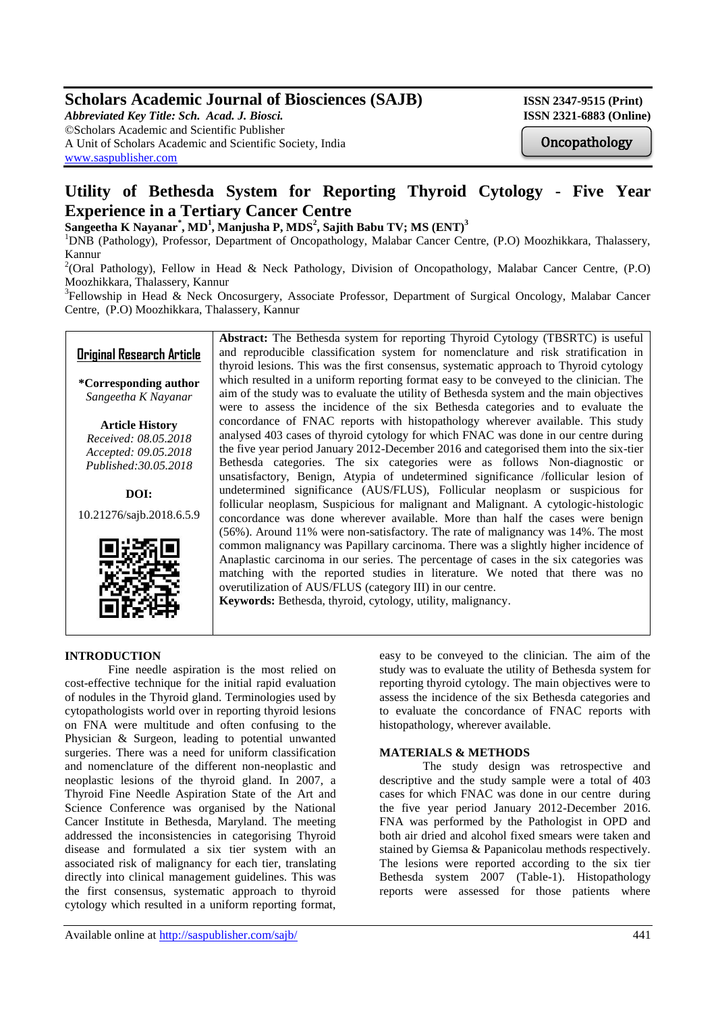# **Scholars Academic Journal of Biosciences (SAJB)** ISSN 2347-9515 (Print)

*Abbreviated Key Title: Sch. Acad. J. Biosci.* **ISSN 2321-6883 (Online)** ©Scholars Academic and Scientific Publisher A Unit of Scholars Academic and Scientific Society, India [www.saspublisher.com](http://www.saspublisher.com/)

**Oncopathology** 

## **Utility of Bethesda System for Reporting Thyroid Cytology - Five Year Experience in a Tertiary Cancer Centre**

**Sangeetha K Nayanar\* , MD<sup>1</sup> , Manjusha P, MDS<sup>2</sup> , Sajith Babu TV; MS (ENT)<sup>3</sup>**

<sup>1</sup>DNB (Pathology), Professor, Department of Oncopathology, Malabar Cancer Centre, (P.O) Moozhikkara, Thalassery, Kannur

<sup>2</sup>(Oral Pathology), Fellow in Head & Neck Pathology, Division of Oncopathology, Malabar Cancer Centre, (P.O) Moozhikkara, Thalassery, Kannur

<sup>3</sup>Fellowship in Head & Neck Oncosurgery, Associate Professor, Department of Surgical Oncology, Malabar Cancer Centre, (P.O) Moozhikkara, Thalassery, Kannur

## **Original Research Article**

**\*Corresponding author** *Sangeetha K Nayanar*

**Article History** *Received: 08.05.2018 Accepted: 09.05.2018 Published:30.05.2018*

**DOI:** 10.21276/sajb.2018.6.5.9



**Abstract:** The Bethesda system for reporting Thyroid Cytology (TBSRTC) is useful and reproducible classification system for nomenclature and risk stratification in thyroid lesions. This was the first consensus, systematic approach to Thyroid cytology which resulted in a uniform reporting format easy to be conveyed to the clinician. The aim of the study was to evaluate the utility of Bethesda system and the main objectives were to assess the incidence of the six Bethesda categories and to evaluate the concordance of FNAC reports with histopathology wherever available. This study analysed 403 cases of thyroid cytology for which FNAC was done in our centre during the five year period January 2012-December 2016 and categorised them into the six-tier Bethesda categories. The six categories were as follows Non-diagnostic or unsatisfactory, Benign, Atypia of undetermined significance /follicular lesion of undetermined significance (AUS/FLUS), Follicular neoplasm or suspicious for follicular neoplasm, Suspicious for malignant and Malignant. A cytologic-histologic concordance was done wherever available. More than half the cases were benign (56%). Around 11% were non-satisfactory. The rate of malignancy was 14%. The most common malignancy was Papillary carcinoma. There was a slightly higher incidence of Anaplastic carcinoma in our series. The percentage of cases in the six categories was matching with the reported studies in literature. We noted that there was no overutilization of AUS/FLUS (category III) in our centre. **Keywords:** Bethesda, thyroid, cytology, utility, malignancy.

## **INTRODUCTION**

Fine needle aspiration is the most relied on cost-effective technique for the initial rapid evaluation of nodules in the Thyroid gland. Terminologies used by cytopathologists world over in reporting thyroid lesions on FNA were multitude and often confusing to the Physician & Surgeon, leading to potential unwanted surgeries. There was a need for uniform classification and nomenclature of the different non-neoplastic and neoplastic lesions of the thyroid gland. In 2007, a Thyroid Fine Needle Aspiration State of the Art and Science Conference was organised by the National Cancer Institute in Bethesda, Maryland. The meeting addressed the inconsistencies in categorising Thyroid disease and formulated a six tier system with an associated risk of malignancy for each tier, translating directly into clinical management guidelines. This was the first consensus, systematic approach to thyroid cytology which resulted in a uniform reporting format,

easy to be conveyed to the clinician. The aim of the study was to evaluate the utility of Bethesda system for reporting thyroid cytology. The main objectives were to assess the incidence of the six Bethesda categories and to evaluate the concordance of FNAC reports with histopathology, wherever available.

### **MATERIALS & METHODS**

The study design was retrospective and descriptive and the study sample were a total of 403 cases for which FNAC was done in our centre during the five year period January 2012-December 2016. FNA was performed by the Pathologist in OPD and both air dried and alcohol fixed smears were taken and stained by Giemsa & Papanicolau methods respectively. The lesions were reported according to the six tier Bethesda system 2007 (Table-1). Histopathology reports were assessed for those patients where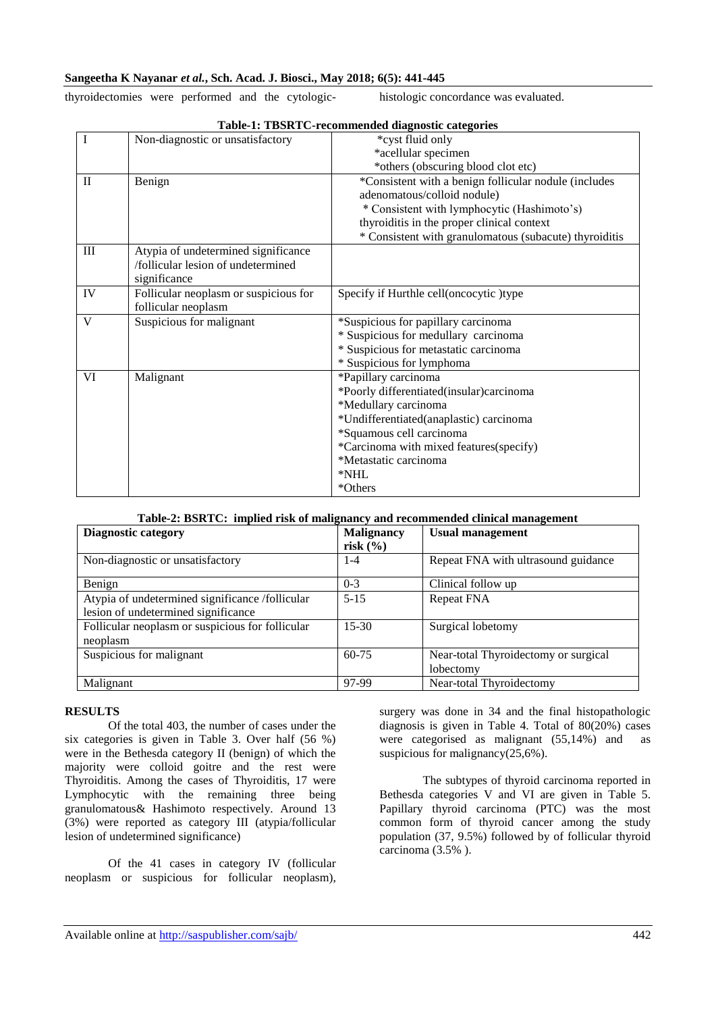### **Sangeetha K Nayanar** *et al.***, Sch. Acad. J. Biosci., May 2018; 6(5): 441-445**

thyroidectomies were performed and the cytologic- histologic concordance was evaluated.

| $\overline{I}$ | Non-diagnostic or unsatisfactory                                                          | *cyst fluid only                                       |
|----------------|-------------------------------------------------------------------------------------------|--------------------------------------------------------|
|                |                                                                                           | *acellular specimen                                    |
|                |                                                                                           | *others (obscuring blood clot etc)                     |
| $\mathbf{I}$   | Benign                                                                                    | *Consistent with a benign follicular nodule (includes  |
|                |                                                                                           | adenomatous/colloid nodule)                            |
|                |                                                                                           | * Consistent with lymphocytic (Hashimoto's)            |
|                |                                                                                           | thyroiditis in the proper clinical context             |
|                |                                                                                           | * Consistent with granulomatous (subacute) thyroiditis |
| $\rm III$      | Atypia of undetermined significance<br>/follicular lesion of undetermined<br>significance |                                                        |
| IV             | Follicular neoplasm or suspicious for                                                     | Specify if Hurthle cell(oncocytic)type                 |
|                | follicular neoplasm                                                                       |                                                        |
| V              | Suspicious for malignant                                                                  | *Suspicious for papillary carcinoma                    |
|                |                                                                                           | * Suspicious for medullary carcinoma                   |
|                |                                                                                           | * Suspicious for metastatic carcinoma                  |
|                |                                                                                           | * Suspicious for lymphoma                              |
| VI             | Malignant                                                                                 | *Papillary carcinoma                                   |
|                |                                                                                           | *Poorly differentiated(insular)carcinoma               |
|                |                                                                                           | *Medullary carcinoma                                   |
|                |                                                                                           | *Undifferentiated(anaplastic) carcinoma                |
|                |                                                                                           | *Squamous cell carcinoma                               |
|                |                                                                                           | *Carcinoma with mixed features(specify)                |
|                |                                                                                           | *Metastatic carcinoma                                  |
|                |                                                                                           | *NHL                                                   |
|                |                                                                                           | *Others                                                |

### **Table-1: TBSRTC-recommended diagnostic categories**

#### **Table-2: BSRTC: implied risk of malignancy and recommended clinical management**

| <b>Diagnostic category</b>                       | <b>Malignancy</b> | <b>Usual management</b>              |
|--------------------------------------------------|-------------------|--------------------------------------|
|                                                  | risk $(\% )$      |                                      |
| Non-diagnostic or unsatisfactory                 | $1 - 4$           | Repeat FNA with ultrasound guidance  |
| Benign                                           | $0 - 3$           | Clinical follow up                   |
| Atypia of undetermined significance /follicular  | $5 - 15$          | <b>Repeat FNA</b>                    |
| lesion of undetermined significance              |                   |                                      |
| Follicular neoplasm or suspicious for follicular | $15 - 30$         | Surgical lobetomy                    |
| neoplasm                                         |                   |                                      |
| Suspicious for malignant                         | $60 - 75$         | Near-total Thyroidectomy or surgical |
|                                                  |                   | lobectomy                            |
| Malignant                                        | 97-99             | Near-total Thyroidectomy             |

### **RESULTS**

Of the total 403, the number of cases under the six categories is given in Table 3. Over half (56 %) were in the Bethesda category II (benign) of which the majority were colloid goitre and the rest were Thyroiditis. Among the cases of Thyroiditis, 17 were Lymphocytic with the remaining three being granulomatous& Hashimoto respectively. Around 13 (3%) were reported as category III (atypia/follicular lesion of undetermined significance)

Of the 41 cases in category IV (follicular neoplasm or suspicious for follicular neoplasm),

surgery was done in 34 and the final histopathologic diagnosis is given in Table 4. Total of 80(20%) cases were categorised as malignant (55,14%) and as suspicious for malignancy(25,6%).

The subtypes of thyroid carcinoma reported in Bethesda categories V and VI are given in Table 5. Papillary thyroid carcinoma (PTC) was the most common form of thyroid cancer among the study population (37, 9.5%) followed by of follicular thyroid carcinoma (3.5% ).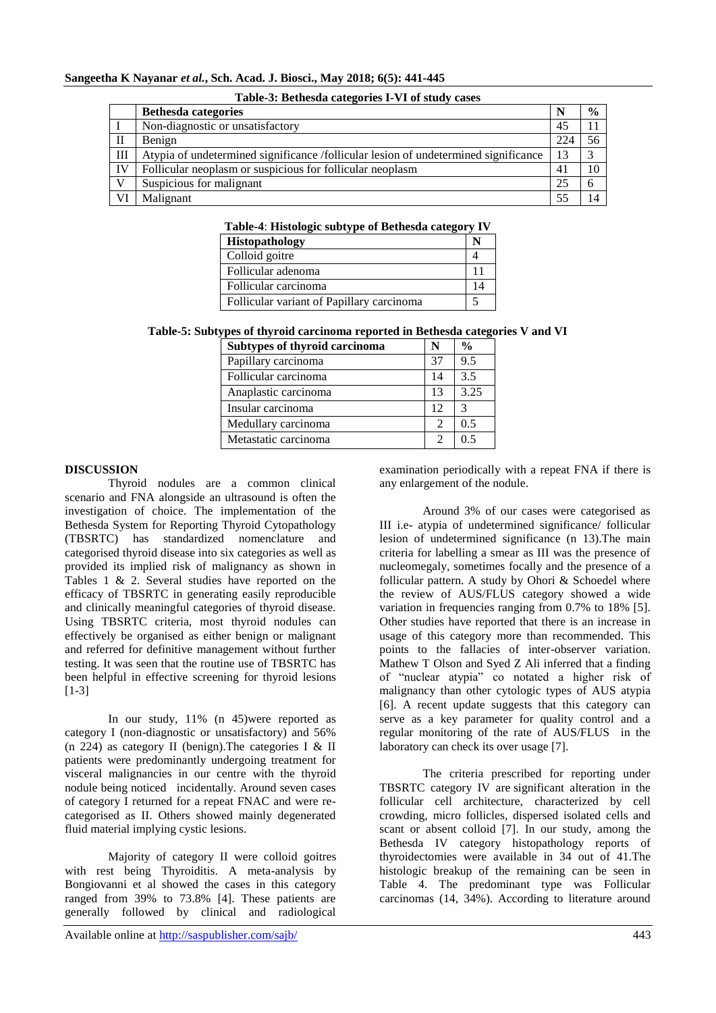|              | <b>Bethesda categories</b>                                                          |     | $\frac{6}{6}$ |
|--------------|-------------------------------------------------------------------------------------|-----|---------------|
|              | Non-diagnostic or unsatisfactory                                                    | 45  |               |
| П            | Benign                                                                              | 224 | 56            |
| Ш            | Atypia of undetermined significance /follicular lesion of undetermined significance | 13  | 3             |
| $\mathbf{I}$ | Follicular neoplasm or suspicious for follicular neoplasm                           | 41  | 10            |
|              | Suspicious for malignant                                                            | 25  | 6             |
| VI           | Malignant                                                                           | 55  | 14            |

|  | Table-3: Bethesda categories I-VI of study cases |  |  |
|--|--------------------------------------------------|--|--|
|  |                                                  |  |  |

#### **Table-4**: **Histologic subtype of Bethesda category IV**

| Histopathology                            |  |
|-------------------------------------------|--|
| Colloid goitre                            |  |
| Follicular adenoma                        |  |
| l Follicular carcinoma                    |  |
| Follicular variant of Papillary carcinoma |  |

### **Table-5: Subtypes of thyroid carcinoma reported in Bethesda categories V and VI**

| Subtypes of thyroid carcinoma | N              | $\frac{0}{0}$ |
|-------------------------------|----------------|---------------|
| Papillary carcinoma           | 37             | 9.5           |
| Follicular carcinoma          | 14             | 3.5           |
| Anaplastic carcinoma          | 13             | 3.25          |
| Insular carcinoma             | 12             | 3             |
| Medullary carcinoma           |                | 0.5           |
| Metastatic carcinoma          | $\mathfrak{D}$ |               |

#### **DISCUSSION**

Thyroid nodules are a common clinical scenario and FNA alongside an ultrasound is often the investigation of choice. The implementation of the Bethesda System for Reporting Thyroid Cytopathology (TBSRTC) has standardized nomenclature and categorised thyroid disease into six categories as well as provided its implied risk of malignancy as shown in Tables 1 & 2. Several studies have reported on the efficacy of TBSRTC in generating easily reproducible and clinically meaningful categories of thyroid disease. Using TBSRTC criteria, most thyroid nodules can effectively be organised as either benign or malignant and referred for definitive management without further testing. It was seen that the routine use of TBSRTC has been helpful in effective screening for thyroid lesions [1-3]

In our study, 11% (n 45)were reported as category I (non-diagnostic or unsatisfactory) and 56% (n 224) as category II (benign).The categories I & II patients were predominantly undergoing treatment for visceral malignancies in our centre with the thyroid nodule being noticed incidentally. Around seven cases of category I returned for a repeat FNAC and were recategorised as II. Others showed mainly degenerated fluid material implying cystic lesions.

Majority of category II were colloid goitres with rest being Thyroiditis. A meta-analysis by Bongiovanni et al showed the cases in this category ranged from 39% to 73.8% [4]. These patients are generally followed by clinical and radiological

examination periodically with a repeat FNA if there is any enlargement of the nodule.

Around 3% of our cases were categorised as III i.e- atypia of undetermined significance/ follicular lesion of undetermined significance (n 13).The main criteria for labelling a smear as III was the presence of nucleomegaly, sometimes focally and the presence of a follicular pattern. A study by Ohori & Schoedel where the review of AUS/FLUS category showed a wide variation in frequencies ranging from 0.7% to 18% [5]. Other studies have reported that there is an increase in usage of this category more than recommended. This points to the fallacies of inter-observer variation. Mathew T Olson and Syed Z Ali inferred that a finding of "nuclear atypia" co notated a higher risk of malignancy than other cytologic types of AUS atypia [6]. A recent update suggests that this category can serve as a key parameter for quality control and a regular monitoring of the rate of AUS/FLUS in the laboratory can check its over usage [7].

The criteria prescribed for reporting under TBSRTC category IV are significant alteration in the follicular cell architecture, characterized by cell crowding, micro follicles, dispersed isolated cells and scant or absent colloid [7]. In our study, among the Bethesda IV category histopathology reports of thyroidectomies were available in 34 out of 41.The histologic breakup of the remaining can be seen in Table 4. The predominant type was Follicular carcinomas (14, 34%). According to literature around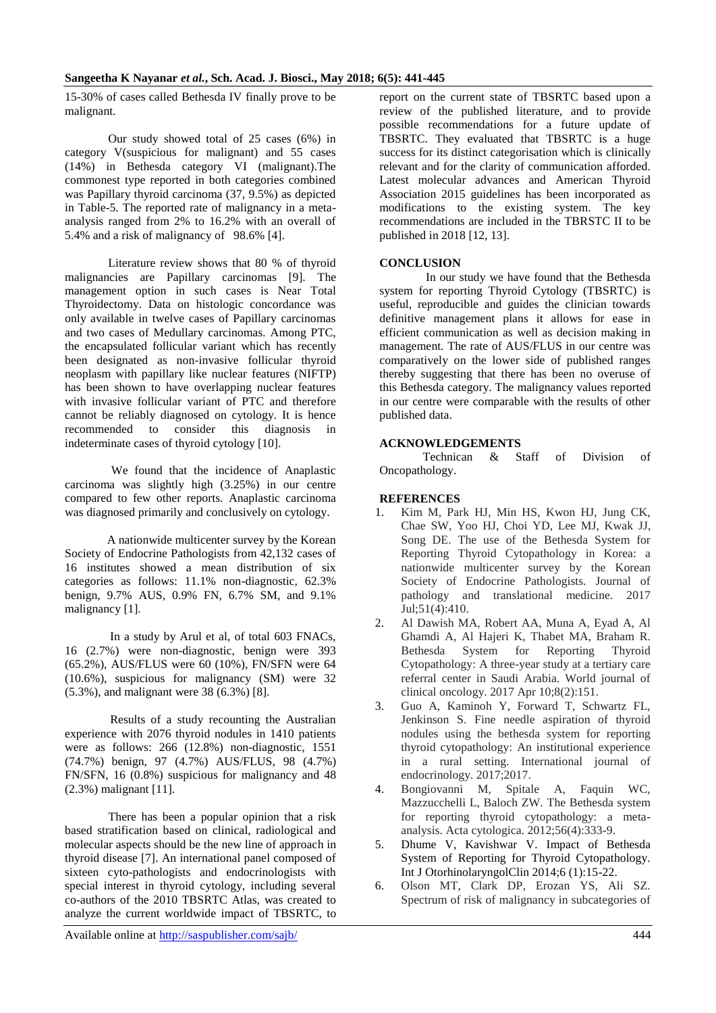15-30% of cases called Bethesda IV finally prove to be malignant.

Our study showed total of 25 cases (6%) in category V(suspicious for malignant) and 55 cases (14%) in Bethesda category VI (malignant).The commonest type reported in both categories combined was Papillary thyroid carcinoma (37, 9.5%) as depicted in Table-5. The reported rate of malignancy in a metaanalysis ranged from 2% to 16.2% with an overall of 5.4% and a risk of malignancy of 98.6% [4].

Literature review shows that 80 % of thyroid malignancies are Papillary carcinomas [9]. The management option in such cases is Near Total Thyroidectomy. Data on histologic concordance was only available in twelve cases of Papillary carcinomas and two cases of Medullary carcinomas. Among PTC, the encapsulated follicular variant which has recently been designated as non-invasive follicular thyroid neoplasm with papillary like nuclear features (NIFTP) has been shown to have overlapping nuclear features with invasive follicular variant of PTC and therefore cannot be reliably diagnosed on cytology. It is hence recommended to consider this diagnosis in indeterminate cases of thyroid cytology [10].

We found that the incidence of Anaplastic carcinoma was slightly high (3.25%) in our centre compared to few other reports. Anaplastic carcinoma was diagnosed primarily and conclusively on cytology.

 A nationwide multicenter survey by the Korean Society of Endocrine Pathologists from 42,132 cases of 16 institutes showed a mean distribution of six categories as follows: 11.1% non-diagnostic, 62.3% benign, 9.7% AUS, 0.9% FN, 6.7% SM, and 9.1% malignancy [1].

 In a study by Arul et al, of total 603 FNACs, 16 (2.7%) were non-diagnostic, benign were 393 (65.2%), AUS/FLUS were 60 (10%), FN/SFN were 64 (10.6%), suspicious for malignancy (SM) were 32 (5.3%), and malignant were 38 (6.3%) [8].

 Results of a study recounting the Australian experience with 2076 thyroid nodules in 1410 patients were as follows: 266 (12.8%) non-diagnostic, 1551 (74.7%) benign, 97 (4.7%) AUS/FLUS, 98 (4.7%) FN/SFN, 16 (0.8%) suspicious for malignancy and 48 (2.3%) malignant [11].

There has been a popular opinion that a risk based stratification based on clinical, radiological and molecular aspects should be the new line of approach in thyroid disease [7]. An international panel composed of sixteen cyto-pathologists and endocrinologists with special interest in thyroid cytology, including several co-authors of the 2010 TBSRTC Atlas, was created to analyze the current worldwide impact of TBSRTC, to

Available online at http://saspublisher.com/sajb/ 444

report on the current state of TBSRTC based upon a review of the published literature, and to provide possible recommendations for a future update of TBSRTC. They evaluated that TBSRTC is a huge success for its distinct categorisation which is clinically relevant and for the clarity of communication afforded. Latest molecular advances and American Thyroid Association 2015 guidelines has been incorporated as modifications to the existing system. The key recommendations are included in the TBRSTC II to be published in 2018 [12, 13].

### **CONCLUSION**

In our study we have found that the Bethesda system for reporting Thyroid Cytology (TBSRTC) is useful, reproducible and guides the clinician towards definitive management plans it allows for ease in efficient communication as well as decision making in management. The rate of AUS/FLUS in our centre was comparatively on the lower side of published ranges thereby suggesting that there has been no overuse of this Bethesda category. The malignancy values reported in our centre were comparable with the results of other published data.

### **ACKNOWLEDGEMENTS**

Technican & Staff of Division of Oncopathology.

### **REFERENCES**

- 1. Kim M, Park HJ, Min HS, Kwon HJ, Jung CK, Chae SW, Yoo HJ, Choi YD, Lee MJ, Kwak JJ, Song DE. The use of the Bethesda System for Reporting Thyroid Cytopathology in Korea: a nationwide multicenter survey by the Korean Society of Endocrine Pathologists. Journal of pathology and translational medicine. 2017 Jul;51(4):410.
- 2. Al Dawish MA, Robert AA, Muna A, Eyad A, Al Ghamdi A, Al Hajeri K, Thabet MA, Braham R. Bethesda System for Reporting Thyroid Cytopathology: A three-year study at a tertiary care referral center in Saudi Arabia. World journal of clinical oncology. 2017 Apr 10;8(2):151.
- 3. Guo A, Kaminoh Y, Forward T, Schwartz FL, Jenkinson S. Fine needle aspiration of thyroid nodules using the bethesda system for reporting thyroid cytopathology: An institutional experience in a rural setting. International journal of endocrinology. 2017;2017.
- 4. Bongiovanni M, Spitale A, Faquin WC, Mazzucchelli L, Baloch ZW. The Bethesda system for reporting thyroid cytopathology: a metaanalysis. Acta cytologica. 2012;56(4):333-9.
- 5. Dhume V, Kavishwar V. Impact of Bethesda System of Reporting for Thyroid Cytopathology. Int J OtorhinolaryngolClin 2014;6 (1):15-22.
- 6. Olson MT, Clark DP, Erozan YS, Ali SZ. Spectrum of risk of malignancy in subcategories of